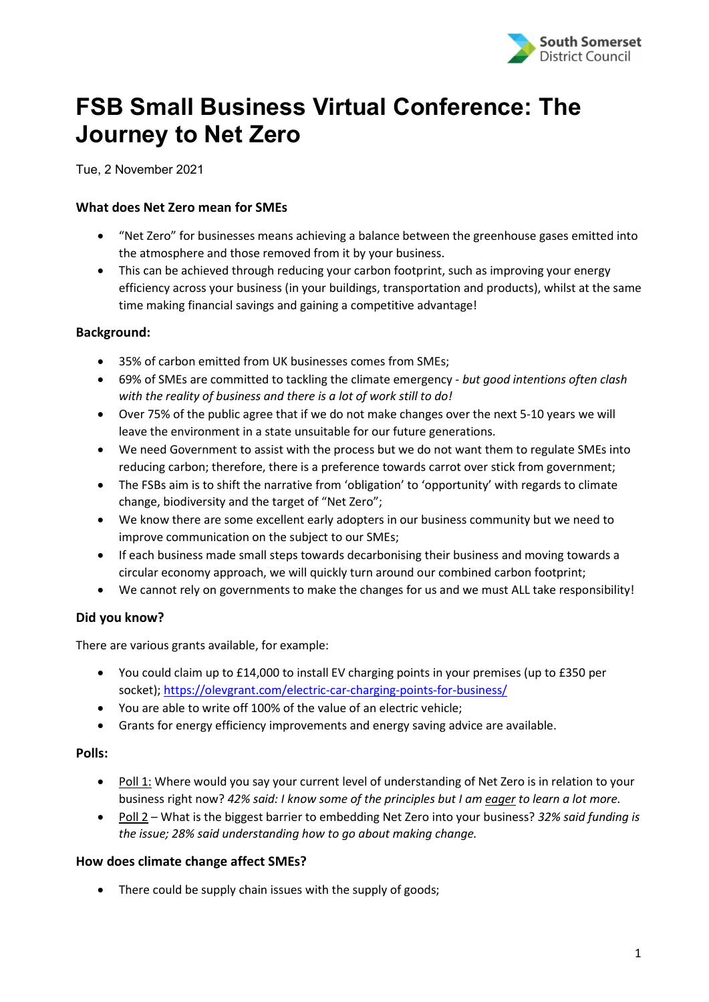

# FSB Small Business Virtual Conference: The Journey to Net Zero

Tue, 2 November 2021

# What does Net Zero mean for SMEs

- "Net Zero" for businesses means achieving a balance between the greenhouse gases emitted into the atmosphere and those removed from it by your business.
- This can be achieved through reducing your carbon footprint, such as improving your energy efficiency across your business (in your buildings, transportation and products), whilst at the same time making financial savings and gaining a competitive advantage!

## Background:

- 35% of carbon emitted from UK businesses comes from SMEs;
- 69% of SMEs are committed to tackling the climate emergency but good intentions often clash with the reality of business and there is a lot of work still to do!
- Over 75% of the public agree that if we do not make changes over the next 5-10 years we will leave the environment in a state unsuitable for our future generations.
- We need Government to assist with the process but we do not want them to regulate SMEs into reducing carbon; therefore, there is a preference towards carrot over stick from government;
- The FSBs aim is to shift the narrative from 'obligation' to 'opportunity' with regards to climate change, biodiversity and the target of "Net Zero";
- We know there are some excellent early adopters in our business community but we need to improve communication on the subject to our SMEs;
- If each business made small steps towards decarbonising their business and moving towards a circular economy approach, we will quickly turn around our combined carbon footprint;
- We cannot rely on governments to make the changes for us and we must ALL take responsibility!

# Did you know?

There are various grants available, for example:

- You could claim up to £14,000 to install EV charging points in your premises (up to £350 per socket); https://olevgrant.com/electric-car-charging-points-for-business/
- You are able to write off 100% of the value of an electric vehicle;
- Grants for energy efficiency improvements and energy saving advice are available.

#### Polls:

- Poll 1: Where would you say your current level of understanding of Net Zero is in relation to your business right now? 42% said: I know some of the principles but I am eager to learn a lot more.
- Poll 2 What is the biggest barrier to embedding Net Zero into your business? 32% said funding is the issue; 28% said understanding how to go about making change.

#### How does climate change affect SMEs?

• There could be supply chain issues with the supply of goods;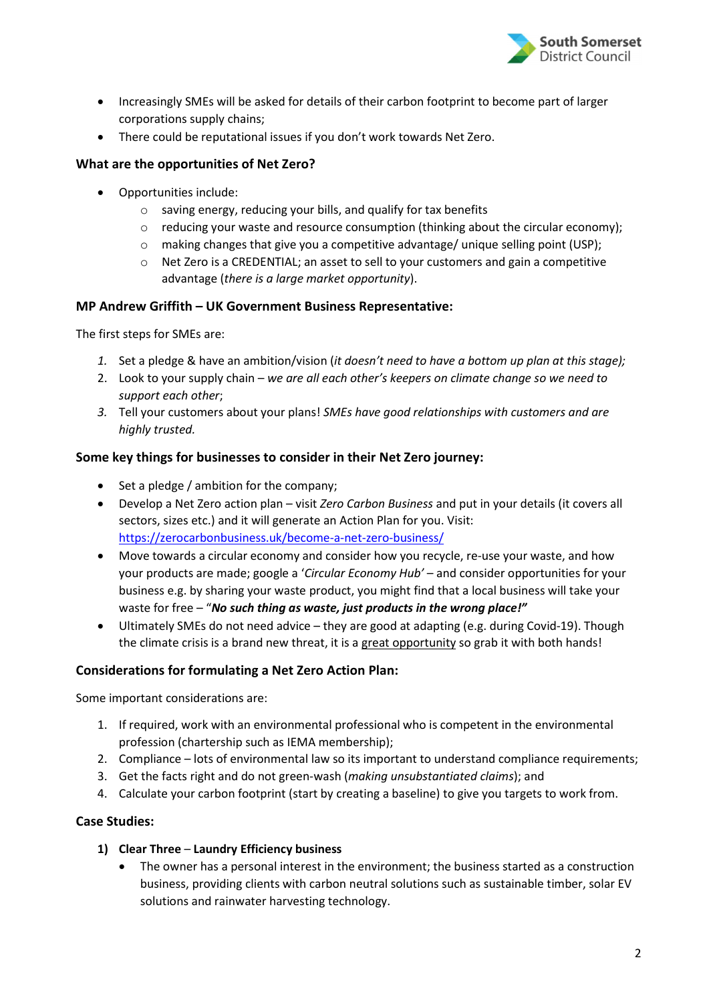

- Increasingly SMEs will be asked for details of their carbon footprint to become part of larger corporations supply chains;
- There could be reputational issues if you don't work towards Net Zero.

## What are the opportunities of Net Zero?

- Opportunities include:
	- o saving energy, reducing your bills, and qualify for tax benefits
	- o reducing your waste and resource consumption (thinking about the circular economy);
	- o making changes that give you a competitive advantage/ unique selling point (USP);
	- $\circ$  Net Zero is a CREDENTIAL; an asset to sell to your customers and gain a competitive advantage (there is a large market opportunity).

## MP Andrew Griffith – UK Government Business Representative:

The first steps for SMEs are:

- 1. Set a pledge & have an ambition/vision (it doesn't need to have a bottom up plan at this stage);
- 2. Look to your supply chain we are all each other's keepers on climate change so we need to support each other;
- 3. Tell your customers about your plans! SMEs have good relationships with customers and are highly trusted.

## Some key things for businesses to consider in their Net Zero journey:

- Set a pledge / ambition for the company;
- Develop a Net Zero action plan visit Zero Carbon Business and put in your details (it covers all sectors, sizes etc.) and it will generate an Action Plan for you. Visit: https://zerocarbonbusiness.uk/become-a-net-zero-business/
- Move towards a circular economy and consider how you recycle, re-use your waste, and how your products are made; google a 'Circular Economy Hub' – and consider opportunities for your business e.g. by sharing your waste product, you might find that a local business will take your waste for free - "No such thing as waste, just products in the wrong place!"
- Ultimately SMEs do not need advice they are good at adapting (e.g. during Covid-19). Though the climate crisis is a brand new threat, it is a great opportunity so grab it with both hands!

#### Considerations for formulating a Net Zero Action Plan:

Some important considerations are:

- 1. If required, work with an environmental professional who is competent in the environmental profession (chartership such as IEMA membership);
- 2. Compliance lots of environmental law so its important to understand compliance requirements;
- 3. Get the facts right and do not green-wash (making unsubstantiated claims); and
- 4. Calculate your carbon footprint (start by creating a baseline) to give you targets to work from.

#### Case Studies:

- 1) Clear Three Laundry Efficiency business
	- The owner has a personal interest in the environment; the business started as a construction business, providing clients with carbon neutral solutions such as sustainable timber, solar EV solutions and rainwater harvesting technology.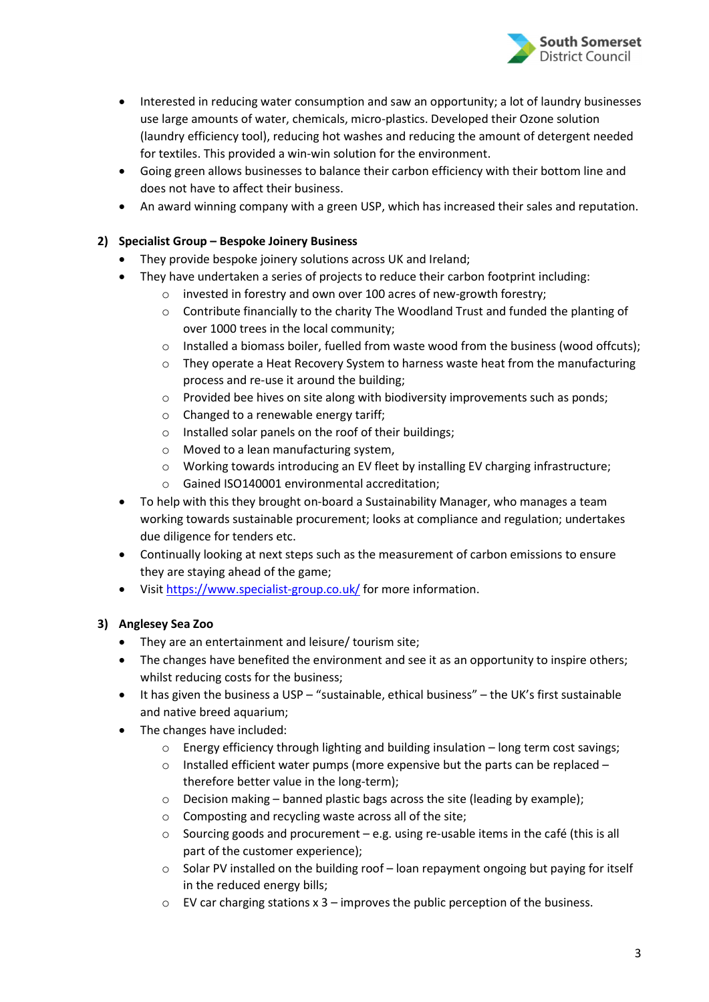

- Interested in reducing water consumption and saw an opportunity; a lot of laundry businesses use large amounts of water, chemicals, micro-plastics. Developed their Ozone solution (laundry efficiency tool), reducing hot washes and reducing the amount of detergent needed for textiles. This provided a win-win solution for the environment.
- Going green allows businesses to balance their carbon efficiency with their bottom line and does not have to affect their business.
- An award winning company with a green USP, which has increased their sales and reputation.

## 2) Specialist Group – Bespoke Joinery Business

- They provide bespoke joinery solutions across UK and Ireland;
- They have undertaken a series of projects to reduce their carbon footprint including:
	- o invested in forestry and own over 100 acres of new-growth forestry;
	- o Contribute financially to the charity The Woodland Trust and funded the planting of over 1000 trees in the local community;
	- o Installed a biomass boiler, fuelled from waste wood from the business (wood offcuts);
	- o They operate a Heat Recovery System to harness waste heat from the manufacturing process and re-use it around the building;
	- $\circ$  Provided bee hives on site along with biodiversity improvements such as ponds;
	- o Changed to a renewable energy tariff;
	- o Installed solar panels on the roof of their buildings;
	- o Moved to a lean manufacturing system,
	- o Working towards introducing an EV fleet by installing EV charging infrastructure;
	- o Gained ISO140001 environmental accreditation;
- To help with this they brought on-board a Sustainability Manager, who manages a team working towards sustainable procurement; looks at compliance and regulation; undertakes due diligence for tenders etc.
- Continually looking at next steps such as the measurement of carbon emissions to ensure they are staying ahead of the game;
- Visit https://www.specialist-group.co.uk/ for more information.

#### 3) Anglesey Sea Zoo

- They are an entertainment and leisure/ tourism site;
- The changes have benefited the environment and see it as an opportunity to inspire others; whilst reducing costs for the business;
- It has given the business a USP "sustainable, ethical business" the UK's first sustainable and native breed aquarium;
- The changes have included:
	- o Energy efficiency through lighting and building insulation long term cost savings;
	- $\circ$  Installed efficient water pumps (more expensive but the parts can be replaced therefore better value in the long-term);
	- o Decision making banned plastic bags across the site (leading by example);
	- o Composting and recycling waste across all of the site;
	- $\circ$  Sourcing goods and procurement e.g. using re-usable items in the café (this is all part of the customer experience);
	- o Solar PV installed on the building roof loan repayment ongoing but paying for itself in the reduced energy bills;
	- $\circ$  EV car charging stations x 3 improves the public perception of the business.